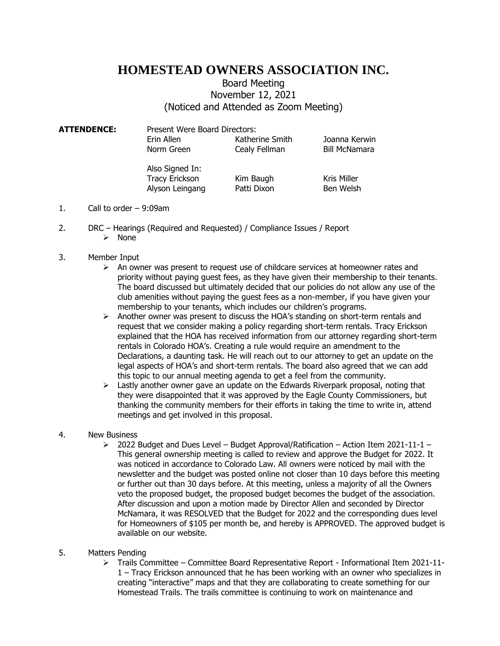## **HOMESTEAD OWNERS ASSOCIATION INC.**

## Board Meeting November 12, 2021 (Noticed and Attended as Zoom Meeting)

**ATTENDENCE:** Present Were Board Directors: Erin Allen Katherine Smith Joanna Kerwin Norm Green Cealy Fellman Bill McNamara

> Also Signed In: Tracy Erickson Kim Baugh Kris Miller Alyson Leingang Patti Dixon Ben Welsh

- 1. Call to order 9:09am
- 2. DRC Hearings (Required and Requested) / Compliance Issues / Report ➢ None
- 3. Member Input
	- $\triangleright$  An owner was present to request use of childcare services at homeowner rates and priority without paying guest fees, as they have given their membership to their tenants. The board discussed but ultimately decided that our policies do not allow any use of the club amenities without paying the guest fees as a non-member, if you have given your membership to your tenants, which includes our children's programs.
	- $\triangleright$  Another owner was present to discuss the HOA's standing on short-term rentals and request that we consider making a policy regarding short-term rentals. Tracy Erickson explained that the HOA has received information from our attorney regarding short-term rentals in Colorado HOA's. Creating a rule would require an amendment to the Declarations, a daunting task. He will reach out to our attorney to get an update on the legal aspects of HOA's and short-term rentals. The board also agreed that we can add this topic to our annual meeting agenda to get a feel from the community.
	- $\triangleright$  Lastly another owner gave an update on the Edwards Riverpark proposal, noting that they were disappointed that it was approved by the Eagle County Commissioners, but thanking the community members for their efforts in taking the time to write in, attend meetings and get involved in this proposal.
- 4. New Business
	- $\geq$  2022 Budget and Dues Level Budget Approval/Ratification Action Item 2021-11-1 This general ownership meeting is called to review and approve the Budget for 2022. It was noticed in accordance to Colorado Law. All owners were noticed by mail with the newsletter and the budget was posted online not closer than 10 days before this meeting or further out than 30 days before. At this meeting, unless a majority of all the Owners veto the proposed budget, the proposed budget becomes the budget of the association. After discussion and upon a motion made by Director Allen and seconded by Director McNamara, it was RESOLVED that the Budget for 2022 and the corresponding dues level for Homeowners of \$105 per month be, and hereby is APPROVED. The approved budget is available on our website.
- 5. Matters Pending
	- ➢ Trails Committee Committee Board Representative Report Informational Item 2021-11- 1 – Tracy Erickson announced that he has been working with an owner who specializes in creating "interactive" maps and that they are collaborating to create something for our Homestead Trails. The trails committee is continuing to work on maintenance and